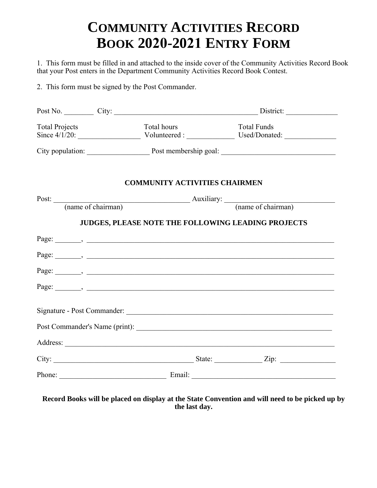## **COMMUNITY ACTIVITIES RECORD BOOK 2020-2021 ENTRY FORM**

1. This form must be filled in and attached to the inside cover of the Community Activities Record Book that your Post enters in the Department Community Activities Record Book Contest.

2. This form must be signed by the Post Commander.

| <b>Total Projects</b> | Total hours |                                                        | <b>Total Funds</b><br>Since 4/1/20: Volunteered : Used/Donated: Used/Donated: |  |
|-----------------------|-------------|--------------------------------------------------------|-------------------------------------------------------------------------------|--|
|                       |             |                                                        |                                                                               |  |
|                       |             | <b>COMMUNITY ACTIVITIES CHAIRMEN</b>                   |                                                                               |  |
|                       |             | Post: (name of chairman) Auxiliary: (name of chairman) |                                                                               |  |
|                       |             |                                                        |                                                                               |  |
|                       |             |                                                        |                                                                               |  |
|                       |             |                                                        |                                                                               |  |
|                       |             |                                                        |                                                                               |  |
|                       |             |                                                        |                                                                               |  |
|                       |             |                                                        |                                                                               |  |
|                       |             |                                                        |                                                                               |  |

## **Record Books will be placed on display at the State Convention and will need to be picked up by the last day.**